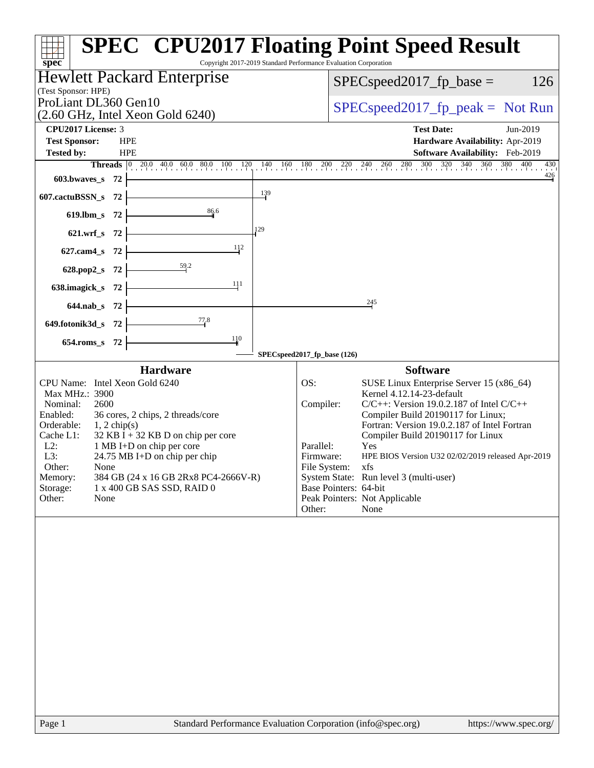| spec                                                                                                                                                                                                                                                                                                                                                                                                                                                    | <b>SPEC<sup>®</sup></b> CPU2017 Floating Point Speed Result<br>Copyright 2017-2019 Standard Performance Evaluation Corporation                                                                                                                                                                                                                                                                                                                                                                                              |
|---------------------------------------------------------------------------------------------------------------------------------------------------------------------------------------------------------------------------------------------------------------------------------------------------------------------------------------------------------------------------------------------------------------------------------------------------------|-----------------------------------------------------------------------------------------------------------------------------------------------------------------------------------------------------------------------------------------------------------------------------------------------------------------------------------------------------------------------------------------------------------------------------------------------------------------------------------------------------------------------------|
| <b>Hewlett Packard Enterprise</b>                                                                                                                                                                                                                                                                                                                                                                                                                       | 126<br>$SPEC speed2017fp base =$                                                                                                                                                                                                                                                                                                                                                                                                                                                                                            |
| (Test Sponsor: HPE)                                                                                                                                                                                                                                                                                                                                                                                                                                     |                                                                                                                                                                                                                                                                                                                                                                                                                                                                                                                             |
| ProLiant DL360 Gen10<br>$(2.60 \text{ GHz}, \text{Intel Xeon Gold } 6240)$                                                                                                                                                                                                                                                                                                                                                                              | $SPEC speed2017rfp peak = Not Run$                                                                                                                                                                                                                                                                                                                                                                                                                                                                                          |
| <b>CPU2017 License: 3</b>                                                                                                                                                                                                                                                                                                                                                                                                                               | <b>Test Date:</b><br>Jun-2019                                                                                                                                                                                                                                                                                                                                                                                                                                                                                               |
| <b>Test Sponsor:</b><br><b>HPE</b>                                                                                                                                                                                                                                                                                                                                                                                                                      | Hardware Availability: Apr-2019                                                                                                                                                                                                                                                                                                                                                                                                                                                                                             |
| Tested by:<br><b>HPE</b>                                                                                                                                                                                                                                                                                                                                                                                                                                | Software Availability: Feb-2019<br><b>Threads</b> 0 20.0 40.0 60.0 80.0 100 120 140 160 180 200 220 240 260 280 300 320 340 360 380 400 430<br>430                                                                                                                                                                                                                                                                                                                                                                          |
| $603.bwaves$ 72                                                                                                                                                                                                                                                                                                                                                                                                                                         | $\frac{426}{9}$                                                                                                                                                                                                                                                                                                                                                                                                                                                                                                             |
| $607$ .cactuBSSN_s 72                                                                                                                                                                                                                                                                                                                                                                                                                                   | $\frac{139}{2}$                                                                                                                                                                                                                                                                                                                                                                                                                                                                                                             |
| 86.6<br>619.lbm_s $72$                                                                                                                                                                                                                                                                                                                                                                                                                                  |                                                                                                                                                                                                                                                                                                                                                                                                                                                                                                                             |
| 129<br>$621.wrf_s$ 72                                                                                                                                                                                                                                                                                                                                                                                                                                   |                                                                                                                                                                                                                                                                                                                                                                                                                                                                                                                             |
| 112                                                                                                                                                                                                                                                                                                                                                                                                                                                     |                                                                                                                                                                                                                                                                                                                                                                                                                                                                                                                             |
| 627.cam4_s $72$                                                                                                                                                                                                                                                                                                                                                                                                                                         |                                                                                                                                                                                                                                                                                                                                                                                                                                                                                                                             |
| 628.pop2_s 72 $\vert$                                                                                                                                                                                                                                                                                                                                                                                                                                   |                                                                                                                                                                                                                                                                                                                                                                                                                                                                                                                             |
| 111<br>638.imagick_s $72$                                                                                                                                                                                                                                                                                                                                                                                                                               |                                                                                                                                                                                                                                                                                                                                                                                                                                                                                                                             |
| $644.nab_s$ 72                                                                                                                                                                                                                                                                                                                                                                                                                                          | 245                                                                                                                                                                                                                                                                                                                                                                                                                                                                                                                         |
| $\frac{77.8}{ }$<br>649.fotonik3d_s $72$ $\vdash$                                                                                                                                                                                                                                                                                                                                                                                                       |                                                                                                                                                                                                                                                                                                                                                                                                                                                                                                                             |
| 110<br>654.roms_s 72                                                                                                                                                                                                                                                                                                                                                                                                                                    |                                                                                                                                                                                                                                                                                                                                                                                                                                                                                                                             |
|                                                                                                                                                                                                                                                                                                                                                                                                                                                         | SPECspeed2017_fp_base (126)                                                                                                                                                                                                                                                                                                                                                                                                                                                                                                 |
| <b>Hardware</b><br>CPU Name: Intel Xeon Gold 6240<br>Max MHz.: 3900<br>2600<br>Nominal:<br>Enabled:<br>36 cores, 2 chips, 2 threads/core<br>Orderable:<br>$1, 2$ chip(s)<br>Cache L1:<br>$32$ KB I + 32 KB D on chip per core<br>$L2$ :<br>1 MB I+D on chip per core<br>L3:<br>$24.75 \text{ MB I+D}$ on chip per chip<br>Other:<br>None<br>Memory:<br>384 GB (24 x 16 GB 2Rx8 PC4-2666V-R)<br>Storage:<br>1 x 400 GB SAS SSD, RAID 0<br>Other:<br>None | <b>Software</b><br>OS:<br>SUSE Linux Enterprise Server 15 (x86_64)<br>Kernel 4.12.14-23-default<br>Compiler:<br>$C/C++$ : Version 19.0.2.187 of Intel $C/C++$<br>Compiler Build 20190117 for Linux;<br>Fortran: Version 19.0.2.187 of Intel Fortran<br>Compiler Build 20190117 for Linux<br>Parallel:<br>Yes<br>Firmware:<br>HPE BIOS Version U32 02/02/2019 released Apr-2019<br>File System:<br>xfs<br>System State: Run level 3 (multi-user)<br>Base Pointers: 64-bit<br>Peak Pointers: Not Applicable<br>None<br>Other: |
|                                                                                                                                                                                                                                                                                                                                                                                                                                                         |                                                                                                                                                                                                                                                                                                                                                                                                                                                                                                                             |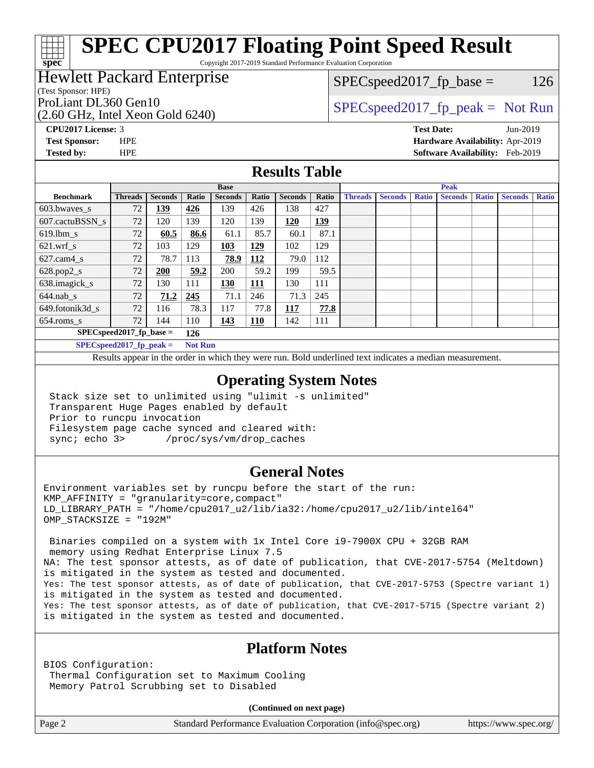# **[SPEC CPU2017 Floating Point Speed Result](http://www.spec.org/auto/cpu2017/Docs/result-fields.html#SPECCPU2017FloatingPointSpeedResult)**

Copyright 2017-2019 Standard Performance Evaluation Corporation

## Hewlett Packard Enterprise

(Test Sponsor: HPE)

**[spec](http://www.spec.org/)**

(2.60 GHz, Intel Xeon Gold 6240)

 $SPEC speed2017_fp\_base = 126$ 

## ProLiant DL360 Gen10  $SPEC speed2017$  fp\_peak = Not Run

**[CPU2017 License:](http://www.spec.org/auto/cpu2017/Docs/result-fields.html#CPU2017License)** 3 **[Test Date:](http://www.spec.org/auto/cpu2017/Docs/result-fields.html#TestDate)** Jun-2019

**[Test Sponsor:](http://www.spec.org/auto/cpu2017/Docs/result-fields.html#TestSponsor)** HPE **[Hardware Availability:](http://www.spec.org/auto/cpu2017/Docs/result-fields.html#HardwareAvailability)** Apr-2019 **[Tested by:](http://www.spec.org/auto/cpu2017/Docs/result-fields.html#Testedby)** HPE **[Software Availability:](http://www.spec.org/auto/cpu2017/Docs/result-fields.html#SoftwareAvailability)** Feb-2019

## **[Results Table](http://www.spec.org/auto/cpu2017/Docs/result-fields.html#ResultsTable)**

|                                   | <b>Base</b>                |                |                |                |            | <b>Peak</b>    |            |                |                |              |                |              |                |              |
|-----------------------------------|----------------------------|----------------|----------------|----------------|------------|----------------|------------|----------------|----------------|--------------|----------------|--------------|----------------|--------------|
| <b>Benchmark</b>                  | <b>Threads</b>             | <b>Seconds</b> | Ratio          | <b>Seconds</b> | Ratio      | <b>Seconds</b> | Ratio      | <b>Threads</b> | <b>Seconds</b> | <b>Ratio</b> | <b>Seconds</b> | <b>Ratio</b> | <b>Seconds</b> | <b>Ratio</b> |
| $603.bwaves$ s                    | 72                         | <u> 139</u>    | 426            | 139            | 426        | 138            | 427        |                |                |              |                |              |                |              |
| 607.cactuBSSN s                   | 72                         | 120            | 139            | 120            | 139        | 120            | <u>139</u> |                |                |              |                |              |                |              |
| $619.1$ bm s                      | 72                         | 60.5           | 86.6           | 61.1           | 85.7       | 60.1           | 87.1       |                |                |              |                |              |                |              |
| $621$ .wrf s                      | 72                         | 103            | 129            | 103            | 129        | 102            | 129        |                |                |              |                |              |                |              |
| $627$ .cam $4$ <sub>s</sub>       | 72                         | 78.7           | 113            | 78.9           | 112        | 79.0           | 112        |                |                |              |                |              |                |              |
| $628.pop2_s$                      | 72                         | 200            | 59.2           | 200            | 59.2       | 199            | 59.5       |                |                |              |                |              |                |              |
| 638.imagick_s                     | 72                         | 130            | 111            | 130            | 111        | 130            | 111        |                |                |              |                |              |                |              |
| $644$ .nab s                      | 72                         | 71.2           | 245            | 71.1           | 246        | 71.3           | 245        |                |                |              |                |              |                |              |
| 649.fotonik3d s                   | 72                         | 116            | 78.3           | 117            | 77.8       | 117            | 77.8       |                |                |              |                |              |                |              |
| $654$ .roms_s                     | 72                         | 144            | 110            | 143            | <b>110</b> | 142            | 111        |                |                |              |                |              |                |              |
| $SPEC speed2017$ fp base =<br>126 |                            |                |                |                |            |                |            |                |                |              |                |              |                |              |
|                                   | $SPECspeed2017_fp\_peak =$ |                | <b>Not Run</b> |                |            |                |            |                |                |              |                |              |                |              |

Results appear in the [order in which they were run.](http://www.spec.org/auto/cpu2017/Docs/result-fields.html#RunOrder) Bold underlined text [indicates a median measurement](http://www.spec.org/auto/cpu2017/Docs/result-fields.html#Median).

### **[Operating System Notes](http://www.spec.org/auto/cpu2017/Docs/result-fields.html#OperatingSystemNotes)**

 Stack size set to unlimited using "ulimit -s unlimited" Transparent Huge Pages enabled by default Prior to runcpu invocation Filesystem page cache synced and cleared with: sync; echo 3> /proc/sys/vm/drop\_caches

### **[General Notes](http://www.spec.org/auto/cpu2017/Docs/result-fields.html#GeneralNotes)**

Environment variables set by runcpu before the start of the run: KMP\_AFFINITY = "granularity=core,compact" LD\_LIBRARY\_PATH = "/home/cpu2017\_u2/lib/ia32:/home/cpu2017\_u2/lib/intel64" OMP\_STACKSIZE = "192M"

 Binaries compiled on a system with 1x Intel Core i9-7900X CPU + 32GB RAM memory using Redhat Enterprise Linux 7.5 NA: The test sponsor attests, as of date of publication, that CVE-2017-5754 (Meltdown) is mitigated in the system as tested and documented. Yes: The test sponsor attests, as of date of publication, that CVE-2017-5753 (Spectre variant 1) is mitigated in the system as tested and documented. Yes: The test sponsor attests, as of date of publication, that CVE-2017-5715 (Spectre variant 2) is mitigated in the system as tested and documented.

## **[Platform Notes](http://www.spec.org/auto/cpu2017/Docs/result-fields.html#PlatformNotes)**

BIOS Configuration: Thermal Configuration set to Maximum Cooling Memory Patrol Scrubbing set to Disabled

**(Continued on next page)**

Page 2 Standard Performance Evaluation Corporation [\(info@spec.org\)](mailto:info@spec.org) <https://www.spec.org/>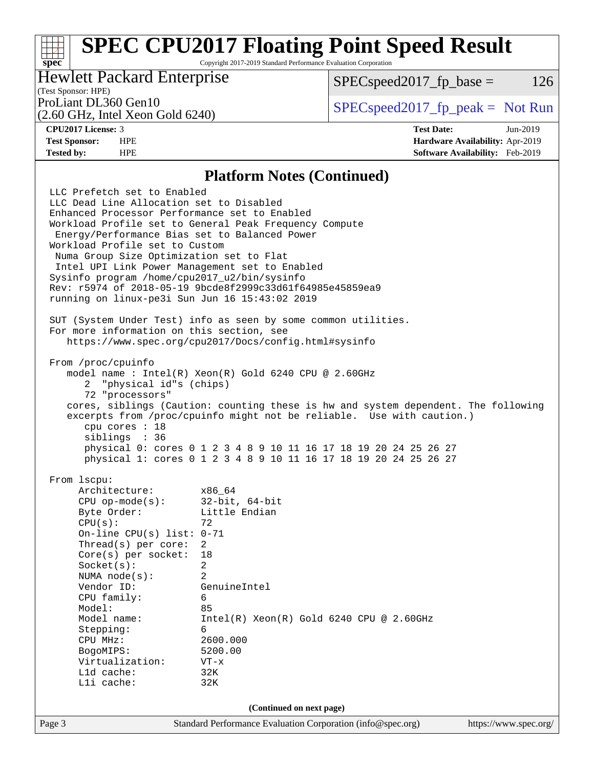# **[SPEC CPU2017 Floating Point Speed Result](http://www.spec.org/auto/cpu2017/Docs/result-fields.html#SPECCPU2017FloatingPointSpeedResult)**

Copyright 2017-2019 Standard Performance Evaluation Corporation

## Hewlett Packard Enterprise

 $SPEC speed2017_fp\_base = 126$ 

# (Test Sponsor: HPE)

(2.60 GHz, Intel Xeon Gold 6240)

ProLiant DL360 Gen10  $SPEC speed2017$  [p\_peak = Not Run

**[spec](http://www.spec.org/)**

**[CPU2017 License:](http://www.spec.org/auto/cpu2017/Docs/result-fields.html#CPU2017License)** 3 **[Test Date:](http://www.spec.org/auto/cpu2017/Docs/result-fields.html#TestDate)** Jun-2019 **[Test Sponsor:](http://www.spec.org/auto/cpu2017/Docs/result-fields.html#TestSponsor)** HPE **[Hardware Availability:](http://www.spec.org/auto/cpu2017/Docs/result-fields.html#HardwareAvailability)** Apr-2019 **[Tested by:](http://www.spec.org/auto/cpu2017/Docs/result-fields.html#Testedby)** HPE **[Software Availability:](http://www.spec.org/auto/cpu2017/Docs/result-fields.html#SoftwareAvailability)** Feb-2019

### **[Platform Notes \(Continued\)](http://www.spec.org/auto/cpu2017/Docs/result-fields.html#PlatformNotes)**

Page 3 Standard Performance Evaluation Corporation [\(info@spec.org\)](mailto:info@spec.org) <https://www.spec.org/> LLC Prefetch set to Enabled LLC Dead Line Allocation set to Disabled Enhanced Processor Performance set to Enabled Workload Profile set to General Peak Frequency Compute Energy/Performance Bias set to Balanced Power Workload Profile set to Custom Numa Group Size Optimization set to Flat Intel UPI Link Power Management set to Enabled Sysinfo program /home/cpu2017\_u2/bin/sysinfo Rev: r5974 of 2018-05-19 9bcde8f2999c33d61f64985e45859ea9 running on linux-pe3i Sun Jun 16 15:43:02 2019 SUT (System Under Test) info as seen by some common utilities. For more information on this section, see <https://www.spec.org/cpu2017/Docs/config.html#sysinfo> From /proc/cpuinfo model name : Intel(R) Xeon(R) Gold 6240 CPU @ 2.60GHz 2 "physical id"s (chips) 72 "processors" cores, siblings (Caution: counting these is hw and system dependent. The following excerpts from /proc/cpuinfo might not be reliable. Use with caution.) cpu cores : 18 siblings : 36 physical 0: cores 0 1 2 3 4 8 9 10 11 16 17 18 19 20 24 25 26 27 physical 1: cores 0 1 2 3 4 8 9 10 11 16 17 18 19 20 24 25 26 27 From lscpu: Architecture: x86\_64 CPU op-mode(s): 32-bit, 64-bit Byte Order: Little Endian  $CPU(s):$  72 On-line CPU(s) list: 0-71 Thread(s) per core: 2 Core(s) per socket: 18 Socket(s): 2 NUMA node(s): 2 Vendor ID: GenuineIntel CPU family: 6 Model: 85 Model name: Intel(R) Xeon(R) Gold 6240 CPU @ 2.60GHz Stepping: 6 CPU MHz: 2600.000 BogoMIPS: 5200.00 Virtualization: VT-x L1d cache: 32K L1i cache: 32K **(Continued on next page)**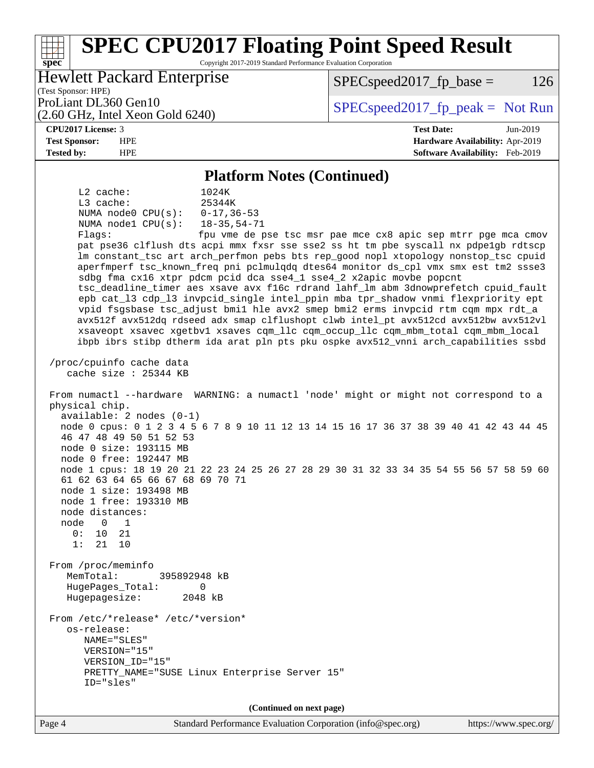### Page 4 Standard Performance Evaluation Corporation [\(info@spec.org\)](mailto:info@spec.org) <https://www.spec.org/> **[spec](http://www.spec.org/) [SPEC CPU2017 Floating Point Speed Result](http://www.spec.org/auto/cpu2017/Docs/result-fields.html#SPECCPU2017FloatingPointSpeedResult)** Copyright 2017-2019 Standard Performance Evaluation Corporation (Test Sponsor: HPE) Hewlett Packard Enterprise (2.60 GHz, Intel Xeon Gold 6240) ProLiant DL360 Gen10  $SPEC speed2017$  [p\_peak = Not Run  $SPEC speed2017_fp\_base = 126$ **[CPU2017 License:](http://www.spec.org/auto/cpu2017/Docs/result-fields.html#CPU2017License)** 3 **[Test Date:](http://www.spec.org/auto/cpu2017/Docs/result-fields.html#TestDate)** Jun-2019 **[Test Sponsor:](http://www.spec.org/auto/cpu2017/Docs/result-fields.html#TestSponsor)** HPE **[Hardware Availability:](http://www.spec.org/auto/cpu2017/Docs/result-fields.html#HardwareAvailability)** Apr-2019 **[Tested by:](http://www.spec.org/auto/cpu2017/Docs/result-fields.html#Testedby)** HPE **[Software Availability:](http://www.spec.org/auto/cpu2017/Docs/result-fields.html#SoftwareAvailability)** Feb-2019 **[Platform Notes \(Continued\)](http://www.spec.org/auto/cpu2017/Docs/result-fields.html#PlatformNotes)** L2 cache: 1024K L3 cache: 25344K<br>NUMA node0 CPU(s): 0-17,36-53 NUMA node0 CPU(s): NUMA node1 CPU(s): 18-35,54-71 Flags: fpu vme de pse tsc msr pae mce cx8 apic sep mtrr pge mca cmov pat pse36 clflush dts acpi mmx fxsr sse sse2 ss ht tm pbe syscall nx pdpe1gb rdtscp lm constant\_tsc art arch\_perfmon pebs bts rep\_good nopl xtopology nonstop\_tsc cpuid aperfmperf tsc\_known\_freq pni pclmulqdq dtes64 monitor ds\_cpl vmx smx est tm2 ssse3 sdbg fma cx16 xtpr pdcm pcid dca sse4\_1 sse4\_2 x2apic movbe popcnt tsc\_deadline\_timer aes xsave avx f16c rdrand lahf\_lm abm 3dnowprefetch cpuid\_fault epb cat\_l3 cdp\_l3 invpcid\_single intel\_ppin mba tpr\_shadow vnmi flexpriority ept vpid fsgsbase tsc\_adjust bmi1 hle avx2 smep bmi2 erms invpcid rtm cqm mpx rdt\_a avx512f avx512dq rdseed adx smap clflushopt clwb intel\_pt avx512cd avx512bw avx512vl xsaveopt xsavec xgetbv1 xsaves cqm\_llc cqm\_occup\_llc cqm\_mbm\_total cqm\_mbm\_local ibpb ibrs stibp dtherm ida arat pln pts pku ospke avx512\_vnni arch\_capabilities ssbd /proc/cpuinfo cache data cache size : 25344 KB From numactl --hardware WARNING: a numactl 'node' might or might not correspond to a physical chip. available: 2 nodes (0-1) node 0 cpus: 0 1 2 3 4 5 6 7 8 9 10 11 12 13 14 15 16 17 36 37 38 39 40 41 42 43 44 45 46 47 48 49 50 51 52 53 node 0 size: 193115 MB node 0 free: 192447 MB node 1 cpus: 18 19 20 21 22 23 24 25 26 27 28 29 30 31 32 33 34 35 54 55 56 57 58 59 60 61 62 63 64 65 66 67 68 69 70 71 node 1 size: 193498 MB node 1 free: 193310 MB node distances: node 0 1 0: 10 21 1: 21 10 From /proc/meminfo MemTotal: 395892948 kB HugePages\_Total: 0 Hugepagesize: 2048 kB From /etc/\*release\* /etc/\*version\* os-release: NAME="SLES" VERSION="15" VERSION\_ID="15" PRETTY\_NAME="SUSE Linux Enterprise Server 15" ID="sles" **(Continued on next page)**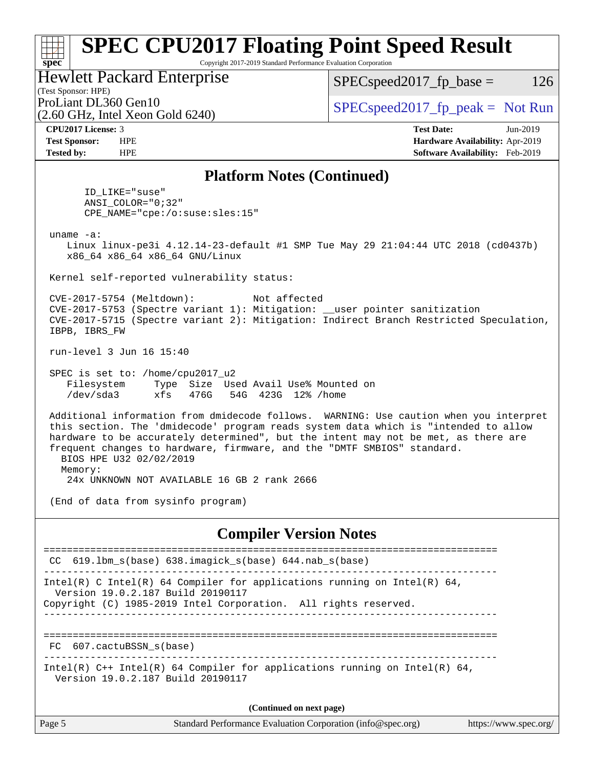### **[spec](http://www.spec.org/) [SPEC CPU2017 Floating Point Speed Result](http://www.spec.org/auto/cpu2017/Docs/result-fields.html#SPECCPU2017FloatingPointSpeedResult)** Copyright 2017-2019 Standard Performance Evaluation Corporation (Test Sponsor: HPE) Hewlett Packard Enterprise (2.60 GHz, Intel Xeon Gold 6240) ProLiant DL360 Gen10  $SPEC speed2017_f$   $p\_peak = Not Run$  $SPEC speed2017_fp\_base = 126$ **[CPU2017 License:](http://www.spec.org/auto/cpu2017/Docs/result-fields.html#CPU2017License)** 3 **[Test Date:](http://www.spec.org/auto/cpu2017/Docs/result-fields.html#TestDate)** Jun-2019 **[Test Sponsor:](http://www.spec.org/auto/cpu2017/Docs/result-fields.html#TestSponsor)** HPE **[Hardware Availability:](http://www.spec.org/auto/cpu2017/Docs/result-fields.html#HardwareAvailability)** Apr-2019 **[Tested by:](http://www.spec.org/auto/cpu2017/Docs/result-fields.html#Testedby)** HPE **[Software Availability:](http://www.spec.org/auto/cpu2017/Docs/result-fields.html#SoftwareAvailability)** Feb-2019 **[Platform Notes \(Continued\)](http://www.spec.org/auto/cpu2017/Docs/result-fields.html#PlatformNotes)** ID\_LIKE="suse" ANSI\_COLOR="0;32" CPE\_NAME="cpe:/o:suse:sles:15" uname -a: Linux linux-pe3i 4.12.14-23-default #1 SMP Tue May 29 21:04:44 UTC 2018 (cd0437b) x86\_64 x86\_64 x86\_64 GNU/Linux Kernel self-reported vulnerability status: CVE-2017-5754 (Meltdown): Not affected CVE-2017-5753 (Spectre variant 1): Mitigation: \_\_user pointer sanitization CVE-2017-5715 (Spectre variant 2): Mitigation: Indirect Branch Restricted Speculation, IBPB, IBRS\_FW run-level 3 Jun 16 15:40 SPEC is set to: /home/cpu2017\_u2 Filesystem Type Size Used Avail Use% Mounted on /dev/sda3 xfs 476G 54G 423G 12% /home Additional information from dmidecode follows. WARNING: Use caution when you interpret this section. The 'dmidecode' program reads system data which is "intended to allow hardware to be accurately determined", but the intent may not be met, as there are frequent changes to hardware, firmware, and the "DMTF SMBIOS" standard. BIOS HPE U32 02/02/2019 Memory: 24x UNKNOWN NOT AVAILABLE 16 GB 2 rank 2666 (End of data from sysinfo program) **[Compiler Version Notes](http://www.spec.org/auto/cpu2017/Docs/result-fields.html#CompilerVersionNotes)** ============================================================================== CC 619.lbm\_s(base) 638.imagick\_s(base) 644.nab\_s(base) ------------------------------------------------------------------------------ Intel(R) C Intel(R) 64 Compiler for applications running on Intel(R) 64, Version 19.0.2.187 Build 20190117 Copyright (C) 1985-2019 Intel Corporation. All rights reserved. ------------------------------------------------------------------------------ ============================================================================== FC 607.cactuBSSN\_s(base) ------------------------------------------------------------------------------ Intel(R) C++ Intel(R) 64 Compiler for applications running on Intel(R) 64, Version 19.0.2.187 Build 20190117

**(Continued on next page)**

| Page 5<br>Standard Performance Evaluation Corporation (info@spec.org) | https://www.spec.org/ |
|-----------------------------------------------------------------------|-----------------------|
|-----------------------------------------------------------------------|-----------------------|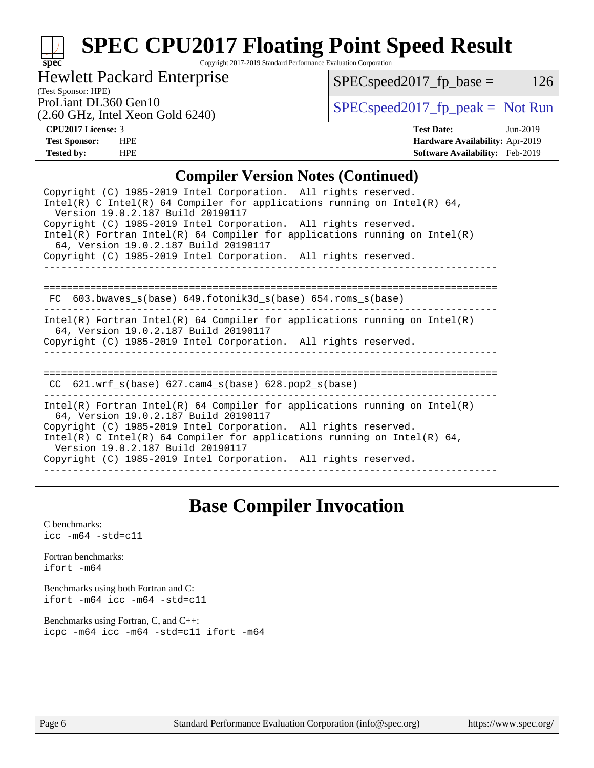## **[spec](http://www.spec.org/) [SPEC CPU2017 Floating Point Speed Result](http://www.spec.org/auto/cpu2017/Docs/result-fields.html#SPECCPU2017FloatingPointSpeedResult)**

Copyright 2017-2019 Standard Performance Evaluation Corporation

Hewlett Packard Enterprise

 $SPEC speed2017_fp\_base = 126$ 

(Test Sponsor: HPE)

(2.60 GHz, Intel Xeon Gold 6240)

ProLiant DL360 Gen10<br>  $\begin{array}{c|c}\n\text{SPEC speed2017\_fp\_peak} = \text{Not Run} \\
\hline\n\end{array}$ 

**[CPU2017 License:](http://www.spec.org/auto/cpu2017/Docs/result-fields.html#CPU2017License)** 3 **[Test Date:](http://www.spec.org/auto/cpu2017/Docs/result-fields.html#TestDate)** Jun-2019 **[Test Sponsor:](http://www.spec.org/auto/cpu2017/Docs/result-fields.html#TestSponsor)** HPE **[Hardware Availability:](http://www.spec.org/auto/cpu2017/Docs/result-fields.html#HardwareAvailability)** Apr-2019 **[Tested by:](http://www.spec.org/auto/cpu2017/Docs/result-fields.html#Testedby)** HPE **[Software Availability:](http://www.spec.org/auto/cpu2017/Docs/result-fields.html#SoftwareAvailability)** Feb-2019

### **[Compiler Version Notes \(Continued\)](http://www.spec.org/auto/cpu2017/Docs/result-fields.html#CompilerVersionNotes)**

| Copyright (C) 1985-2019 Intel Corporation. All rights reserved.<br>Intel(R) C Intel(R) 64 Compiler for applications running on Intel(R) 64,<br>Version 19.0.2.187 Build 20190117                                                                                                                                                                                             |
|------------------------------------------------------------------------------------------------------------------------------------------------------------------------------------------------------------------------------------------------------------------------------------------------------------------------------------------------------------------------------|
| Copyright (C) 1985-2019 Intel Corporation. All rights reserved.<br>$Intel(R)$ Fortran Intel(R) 64 Compiler for applications running on Intel(R)<br>64, Version 19.0.2.187 Build 20190117                                                                                                                                                                                     |
| Copyright (C) 1985-2019 Intel Corporation. All rights reserved.                                                                                                                                                                                                                                                                                                              |
| FC 603.bwaves_s(base) 649.fotonik3d_s(base) 654.roms_s(base)                                                                                                                                                                                                                                                                                                                 |
| $Intel(R)$ Fortran Intel(R) 64 Compiler for applications running on Intel(R)<br>64, Version 19.0.2.187 Build 20190117<br>Copyright (C) 1985-2019 Intel Corporation. All rights reserved.                                                                                                                                                                                     |
| ============================<br>$CC$ 621.wrf_s(base) 627.cam4_s(base) 628.pop2_s(base)                                                                                                                                                                                                                                                                                       |
| $Intel(R)$ Fortran Intel(R) 64 Compiler for applications running on Intel(R)<br>64, Version 19.0.2.187 Build 20190117<br>Copyright (C) 1985-2019 Intel Corporation. All rights reserved.<br>Intel(R) C Intel(R) 64 Compiler for applications running on Intel(R) 64,<br>Version 19.0.2.187 Build 20190117<br>Copyright (C) 1985-2019 Intel Corporation. All rights reserved. |
|                                                                                                                                                                                                                                                                                                                                                                              |

## **[Base Compiler Invocation](http://www.spec.org/auto/cpu2017/Docs/result-fields.html#BaseCompilerInvocation)**

[C benchmarks](http://www.spec.org/auto/cpu2017/Docs/result-fields.html#Cbenchmarks): [icc -m64 -std=c11](http://www.spec.org/cpu2017/results/res2019q3/cpu2017-20190709-16056.flags.html#user_CCbase_intel_icc_64bit_c11_33ee0cdaae7deeeab2a9725423ba97205ce30f63b9926c2519791662299b76a0318f32ddfffdc46587804de3178b4f9328c46fa7c2b0cd779d7a61945c91cd35)

[Fortran benchmarks](http://www.spec.org/auto/cpu2017/Docs/result-fields.html#Fortranbenchmarks): [ifort -m64](http://www.spec.org/cpu2017/results/res2019q3/cpu2017-20190709-16056.flags.html#user_FCbase_intel_ifort_64bit_24f2bb282fbaeffd6157abe4f878425411749daecae9a33200eee2bee2fe76f3b89351d69a8130dd5949958ce389cf37ff59a95e7a40d588e8d3a57e0c3fd751)

[Benchmarks using both Fortran and C](http://www.spec.org/auto/cpu2017/Docs/result-fields.html#BenchmarksusingbothFortranandC): [ifort -m64](http://www.spec.org/cpu2017/results/res2019q3/cpu2017-20190709-16056.flags.html#user_CC_FCbase_intel_ifort_64bit_24f2bb282fbaeffd6157abe4f878425411749daecae9a33200eee2bee2fe76f3b89351d69a8130dd5949958ce389cf37ff59a95e7a40d588e8d3a57e0c3fd751) [icc -m64 -std=c11](http://www.spec.org/cpu2017/results/res2019q3/cpu2017-20190709-16056.flags.html#user_CC_FCbase_intel_icc_64bit_c11_33ee0cdaae7deeeab2a9725423ba97205ce30f63b9926c2519791662299b76a0318f32ddfffdc46587804de3178b4f9328c46fa7c2b0cd779d7a61945c91cd35)

[Benchmarks using Fortran, C, and C++:](http://www.spec.org/auto/cpu2017/Docs/result-fields.html#BenchmarksusingFortranCandCXX) [icpc -m64](http://www.spec.org/cpu2017/results/res2019q3/cpu2017-20190709-16056.flags.html#user_CC_CXX_FCbase_intel_icpc_64bit_4ecb2543ae3f1412ef961e0650ca070fec7b7afdcd6ed48761b84423119d1bf6bdf5cad15b44d48e7256388bc77273b966e5eb805aefd121eb22e9299b2ec9d9) [icc -m64 -std=c11](http://www.spec.org/cpu2017/results/res2019q3/cpu2017-20190709-16056.flags.html#user_CC_CXX_FCbase_intel_icc_64bit_c11_33ee0cdaae7deeeab2a9725423ba97205ce30f63b9926c2519791662299b76a0318f32ddfffdc46587804de3178b4f9328c46fa7c2b0cd779d7a61945c91cd35) [ifort -m64](http://www.spec.org/cpu2017/results/res2019q3/cpu2017-20190709-16056.flags.html#user_CC_CXX_FCbase_intel_ifort_64bit_24f2bb282fbaeffd6157abe4f878425411749daecae9a33200eee2bee2fe76f3b89351d69a8130dd5949958ce389cf37ff59a95e7a40d588e8d3a57e0c3fd751)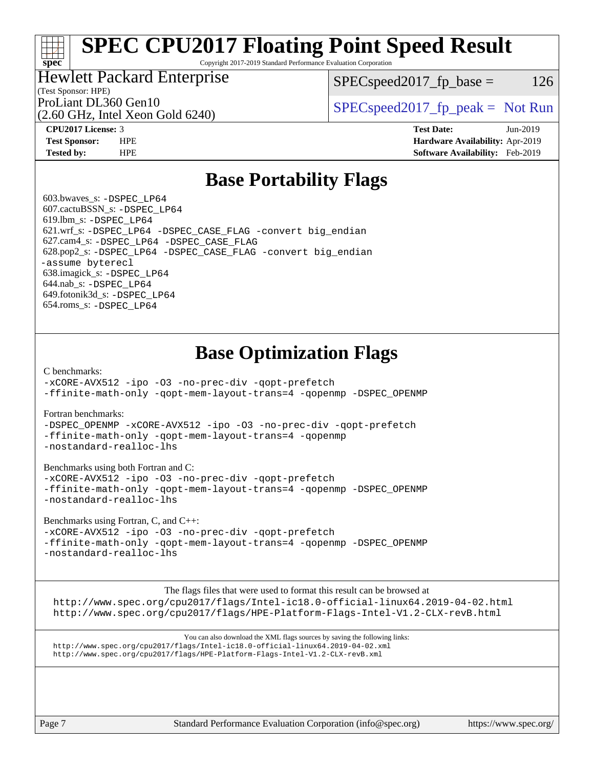# **[SPEC CPU2017 Floating Point Speed Result](http://www.spec.org/auto/cpu2017/Docs/result-fields.html#SPECCPU2017FloatingPointSpeedResult)**

Copyright 2017-2019 Standard Performance Evaluation Corporation

## Hewlett Packard Enterprise

 $SPEC speed2017_fp\_base = 126$ 

# (Test Sponsor: HPE)

(2.60 GHz, Intel Xeon Gold 6240)

ProLiant DL360 Gen10  $SPEC speed2017$  [p\_peak = Not Run

**[spec](http://www.spec.org/)**

**[CPU2017 License:](http://www.spec.org/auto/cpu2017/Docs/result-fields.html#CPU2017License)** 3 **[Test Date:](http://www.spec.org/auto/cpu2017/Docs/result-fields.html#TestDate)** Jun-2019 **[Test Sponsor:](http://www.spec.org/auto/cpu2017/Docs/result-fields.html#TestSponsor)** HPE **[Hardware Availability:](http://www.spec.org/auto/cpu2017/Docs/result-fields.html#HardwareAvailability)** Apr-2019 **[Tested by:](http://www.spec.org/auto/cpu2017/Docs/result-fields.html#Testedby)** HPE **[Software Availability:](http://www.spec.org/auto/cpu2017/Docs/result-fields.html#SoftwareAvailability)** Feb-2019

## **[Base Portability Flags](http://www.spec.org/auto/cpu2017/Docs/result-fields.html#BasePortabilityFlags)**

 603.bwaves\_s: [-DSPEC\\_LP64](http://www.spec.org/cpu2017/results/res2019q3/cpu2017-20190709-16056.flags.html#suite_basePORTABILITY603_bwaves_s_DSPEC_LP64) 607.cactuBSSN\_s: [-DSPEC\\_LP64](http://www.spec.org/cpu2017/results/res2019q3/cpu2017-20190709-16056.flags.html#suite_basePORTABILITY607_cactuBSSN_s_DSPEC_LP64) 619.lbm\_s: [-DSPEC\\_LP64](http://www.spec.org/cpu2017/results/res2019q3/cpu2017-20190709-16056.flags.html#suite_basePORTABILITY619_lbm_s_DSPEC_LP64) 621.wrf\_s: [-DSPEC\\_LP64](http://www.spec.org/cpu2017/results/res2019q3/cpu2017-20190709-16056.flags.html#suite_basePORTABILITY621_wrf_s_DSPEC_LP64) [-DSPEC\\_CASE\\_FLAG](http://www.spec.org/cpu2017/results/res2019q3/cpu2017-20190709-16056.flags.html#b621.wrf_s_baseCPORTABILITY_DSPEC_CASE_FLAG) [-convert big\\_endian](http://www.spec.org/cpu2017/results/res2019q3/cpu2017-20190709-16056.flags.html#user_baseFPORTABILITY621_wrf_s_convert_big_endian_c3194028bc08c63ac5d04de18c48ce6d347e4e562e8892b8bdbdc0214820426deb8554edfa529a3fb25a586e65a3d812c835984020483e7e73212c4d31a38223) 627.cam4\_s: [-DSPEC\\_LP64](http://www.spec.org/cpu2017/results/res2019q3/cpu2017-20190709-16056.flags.html#suite_basePORTABILITY627_cam4_s_DSPEC_LP64) [-DSPEC\\_CASE\\_FLAG](http://www.spec.org/cpu2017/results/res2019q3/cpu2017-20190709-16056.flags.html#b627.cam4_s_baseCPORTABILITY_DSPEC_CASE_FLAG) 628.pop2\_s: [-DSPEC\\_LP64](http://www.spec.org/cpu2017/results/res2019q3/cpu2017-20190709-16056.flags.html#suite_basePORTABILITY628_pop2_s_DSPEC_LP64) [-DSPEC\\_CASE\\_FLAG](http://www.spec.org/cpu2017/results/res2019q3/cpu2017-20190709-16056.flags.html#b628.pop2_s_baseCPORTABILITY_DSPEC_CASE_FLAG) [-convert big\\_endian](http://www.spec.org/cpu2017/results/res2019q3/cpu2017-20190709-16056.flags.html#user_baseFPORTABILITY628_pop2_s_convert_big_endian_c3194028bc08c63ac5d04de18c48ce6d347e4e562e8892b8bdbdc0214820426deb8554edfa529a3fb25a586e65a3d812c835984020483e7e73212c4d31a38223) [-assume byterecl](http://www.spec.org/cpu2017/results/res2019q3/cpu2017-20190709-16056.flags.html#user_baseFPORTABILITY628_pop2_s_assume_byterecl_7e47d18b9513cf18525430bbf0f2177aa9bf368bc7a059c09b2c06a34b53bd3447c950d3f8d6c70e3faf3a05c8557d66a5798b567902e8849adc142926523472) 638.imagick\_s: [-DSPEC\\_LP64](http://www.spec.org/cpu2017/results/res2019q3/cpu2017-20190709-16056.flags.html#suite_basePORTABILITY638_imagick_s_DSPEC_LP64) 644.nab\_s: [-DSPEC\\_LP64](http://www.spec.org/cpu2017/results/res2019q3/cpu2017-20190709-16056.flags.html#suite_basePORTABILITY644_nab_s_DSPEC_LP64) 649.fotonik3d\_s: [-DSPEC\\_LP64](http://www.spec.org/cpu2017/results/res2019q3/cpu2017-20190709-16056.flags.html#suite_basePORTABILITY649_fotonik3d_s_DSPEC_LP64) 654.roms\_s: [-DSPEC\\_LP64](http://www.spec.org/cpu2017/results/res2019q3/cpu2017-20190709-16056.flags.html#suite_basePORTABILITY654_roms_s_DSPEC_LP64)

# **[Base Optimization Flags](http://www.spec.org/auto/cpu2017/Docs/result-fields.html#BaseOptimizationFlags)**

### [C benchmarks](http://www.spec.org/auto/cpu2017/Docs/result-fields.html#Cbenchmarks):

[-xCORE-AVX512](http://www.spec.org/cpu2017/results/res2019q3/cpu2017-20190709-16056.flags.html#user_CCbase_f-xCORE-AVX512) [-ipo](http://www.spec.org/cpu2017/results/res2019q3/cpu2017-20190709-16056.flags.html#user_CCbase_f-ipo) [-O3](http://www.spec.org/cpu2017/results/res2019q3/cpu2017-20190709-16056.flags.html#user_CCbase_f-O3) [-no-prec-div](http://www.spec.org/cpu2017/results/res2019q3/cpu2017-20190709-16056.flags.html#user_CCbase_f-no-prec-div) [-qopt-prefetch](http://www.spec.org/cpu2017/results/res2019q3/cpu2017-20190709-16056.flags.html#user_CCbase_f-qopt-prefetch) [-ffinite-math-only](http://www.spec.org/cpu2017/results/res2019q3/cpu2017-20190709-16056.flags.html#user_CCbase_f_finite_math_only_cb91587bd2077682c4b38af759c288ed7c732db004271a9512da14a4f8007909a5f1427ecbf1a0fb78ff2a814402c6114ac565ca162485bbcae155b5e4258871) [-qopt-mem-layout-trans=4](http://www.spec.org/cpu2017/results/res2019q3/cpu2017-20190709-16056.flags.html#user_CCbase_f-qopt-mem-layout-trans_fa39e755916c150a61361b7846f310bcdf6f04e385ef281cadf3647acec3f0ae266d1a1d22d972a7087a248fd4e6ca390a3634700869573d231a252c784941a8) [-qopenmp](http://www.spec.org/cpu2017/results/res2019q3/cpu2017-20190709-16056.flags.html#user_CCbase_qopenmp_16be0c44f24f464004c6784a7acb94aca937f053568ce72f94b139a11c7c168634a55f6653758ddd83bcf7b8463e8028bb0b48b77bcddc6b78d5d95bb1df2967) [-DSPEC\\_OPENMP](http://www.spec.org/cpu2017/results/res2019q3/cpu2017-20190709-16056.flags.html#suite_CCbase_DSPEC_OPENMP)

### [Fortran benchmarks](http://www.spec.org/auto/cpu2017/Docs/result-fields.html#Fortranbenchmarks):

[-DSPEC\\_OPENMP](http://www.spec.org/cpu2017/results/res2019q3/cpu2017-20190709-16056.flags.html#suite_FCbase_DSPEC_OPENMP) [-xCORE-AVX512](http://www.spec.org/cpu2017/results/res2019q3/cpu2017-20190709-16056.flags.html#user_FCbase_f-xCORE-AVX512) [-ipo](http://www.spec.org/cpu2017/results/res2019q3/cpu2017-20190709-16056.flags.html#user_FCbase_f-ipo) [-O3](http://www.spec.org/cpu2017/results/res2019q3/cpu2017-20190709-16056.flags.html#user_FCbase_f-O3) [-no-prec-div](http://www.spec.org/cpu2017/results/res2019q3/cpu2017-20190709-16056.flags.html#user_FCbase_f-no-prec-div) [-qopt-prefetch](http://www.spec.org/cpu2017/results/res2019q3/cpu2017-20190709-16056.flags.html#user_FCbase_f-qopt-prefetch) [-ffinite-math-only](http://www.spec.org/cpu2017/results/res2019q3/cpu2017-20190709-16056.flags.html#user_FCbase_f_finite_math_only_cb91587bd2077682c4b38af759c288ed7c732db004271a9512da14a4f8007909a5f1427ecbf1a0fb78ff2a814402c6114ac565ca162485bbcae155b5e4258871) [-qopt-mem-layout-trans=4](http://www.spec.org/cpu2017/results/res2019q3/cpu2017-20190709-16056.flags.html#user_FCbase_f-qopt-mem-layout-trans_fa39e755916c150a61361b7846f310bcdf6f04e385ef281cadf3647acec3f0ae266d1a1d22d972a7087a248fd4e6ca390a3634700869573d231a252c784941a8) [-qopenmp](http://www.spec.org/cpu2017/results/res2019q3/cpu2017-20190709-16056.flags.html#user_FCbase_qopenmp_16be0c44f24f464004c6784a7acb94aca937f053568ce72f94b139a11c7c168634a55f6653758ddd83bcf7b8463e8028bb0b48b77bcddc6b78d5d95bb1df2967) [-nostandard-realloc-lhs](http://www.spec.org/cpu2017/results/res2019q3/cpu2017-20190709-16056.flags.html#user_FCbase_f_2003_std_realloc_82b4557e90729c0f113870c07e44d33d6f5a304b4f63d4c15d2d0f1fab99f5daaed73bdb9275d9ae411527f28b936061aa8b9c8f2d63842963b95c9dd6426b8a)

### [Benchmarks using both Fortran and C](http://www.spec.org/auto/cpu2017/Docs/result-fields.html#BenchmarksusingbothFortranandC):

[-xCORE-AVX512](http://www.spec.org/cpu2017/results/res2019q3/cpu2017-20190709-16056.flags.html#user_CC_FCbase_f-xCORE-AVX512) [-ipo](http://www.spec.org/cpu2017/results/res2019q3/cpu2017-20190709-16056.flags.html#user_CC_FCbase_f-ipo) [-O3](http://www.spec.org/cpu2017/results/res2019q3/cpu2017-20190709-16056.flags.html#user_CC_FCbase_f-O3) [-no-prec-div](http://www.spec.org/cpu2017/results/res2019q3/cpu2017-20190709-16056.flags.html#user_CC_FCbase_f-no-prec-div) [-qopt-prefetch](http://www.spec.org/cpu2017/results/res2019q3/cpu2017-20190709-16056.flags.html#user_CC_FCbase_f-qopt-prefetch) [-ffinite-math-only](http://www.spec.org/cpu2017/results/res2019q3/cpu2017-20190709-16056.flags.html#user_CC_FCbase_f_finite_math_only_cb91587bd2077682c4b38af759c288ed7c732db004271a9512da14a4f8007909a5f1427ecbf1a0fb78ff2a814402c6114ac565ca162485bbcae155b5e4258871) [-qopt-mem-layout-trans=4](http://www.spec.org/cpu2017/results/res2019q3/cpu2017-20190709-16056.flags.html#user_CC_FCbase_f-qopt-mem-layout-trans_fa39e755916c150a61361b7846f310bcdf6f04e385ef281cadf3647acec3f0ae266d1a1d22d972a7087a248fd4e6ca390a3634700869573d231a252c784941a8) [-qopenmp](http://www.spec.org/cpu2017/results/res2019q3/cpu2017-20190709-16056.flags.html#user_CC_FCbase_qopenmp_16be0c44f24f464004c6784a7acb94aca937f053568ce72f94b139a11c7c168634a55f6653758ddd83bcf7b8463e8028bb0b48b77bcddc6b78d5d95bb1df2967) [-DSPEC\\_OPENMP](http://www.spec.org/cpu2017/results/res2019q3/cpu2017-20190709-16056.flags.html#suite_CC_FCbase_DSPEC_OPENMP) [-nostandard-realloc-lhs](http://www.spec.org/cpu2017/results/res2019q3/cpu2017-20190709-16056.flags.html#user_CC_FCbase_f_2003_std_realloc_82b4557e90729c0f113870c07e44d33d6f5a304b4f63d4c15d2d0f1fab99f5daaed73bdb9275d9ae411527f28b936061aa8b9c8f2d63842963b95c9dd6426b8a)

### [Benchmarks using Fortran, C, and C++:](http://www.spec.org/auto/cpu2017/Docs/result-fields.html#BenchmarksusingFortranCandCXX)

[-xCORE-AVX512](http://www.spec.org/cpu2017/results/res2019q3/cpu2017-20190709-16056.flags.html#user_CC_CXX_FCbase_f-xCORE-AVX512) [-ipo](http://www.spec.org/cpu2017/results/res2019q3/cpu2017-20190709-16056.flags.html#user_CC_CXX_FCbase_f-ipo) [-O3](http://www.spec.org/cpu2017/results/res2019q3/cpu2017-20190709-16056.flags.html#user_CC_CXX_FCbase_f-O3) [-no-prec-div](http://www.spec.org/cpu2017/results/res2019q3/cpu2017-20190709-16056.flags.html#user_CC_CXX_FCbase_f-no-prec-div) [-qopt-prefetch](http://www.spec.org/cpu2017/results/res2019q3/cpu2017-20190709-16056.flags.html#user_CC_CXX_FCbase_f-qopt-prefetch) [-ffinite-math-only](http://www.spec.org/cpu2017/results/res2019q3/cpu2017-20190709-16056.flags.html#user_CC_CXX_FCbase_f_finite_math_only_cb91587bd2077682c4b38af759c288ed7c732db004271a9512da14a4f8007909a5f1427ecbf1a0fb78ff2a814402c6114ac565ca162485bbcae155b5e4258871) [-qopt-mem-layout-trans=4](http://www.spec.org/cpu2017/results/res2019q3/cpu2017-20190709-16056.flags.html#user_CC_CXX_FCbase_f-qopt-mem-layout-trans_fa39e755916c150a61361b7846f310bcdf6f04e385ef281cadf3647acec3f0ae266d1a1d22d972a7087a248fd4e6ca390a3634700869573d231a252c784941a8) [-qopenmp](http://www.spec.org/cpu2017/results/res2019q3/cpu2017-20190709-16056.flags.html#user_CC_CXX_FCbase_qopenmp_16be0c44f24f464004c6784a7acb94aca937f053568ce72f94b139a11c7c168634a55f6653758ddd83bcf7b8463e8028bb0b48b77bcddc6b78d5d95bb1df2967) [-DSPEC\\_OPENMP](http://www.spec.org/cpu2017/results/res2019q3/cpu2017-20190709-16056.flags.html#suite_CC_CXX_FCbase_DSPEC_OPENMP) [-nostandard-realloc-lhs](http://www.spec.org/cpu2017/results/res2019q3/cpu2017-20190709-16056.flags.html#user_CC_CXX_FCbase_f_2003_std_realloc_82b4557e90729c0f113870c07e44d33d6f5a304b4f63d4c15d2d0f1fab99f5daaed73bdb9275d9ae411527f28b936061aa8b9c8f2d63842963b95c9dd6426b8a)

The flags files that were used to format this result can be browsed at

<http://www.spec.org/cpu2017/flags/Intel-ic18.0-official-linux64.2019-04-02.html> <http://www.spec.org/cpu2017/flags/HPE-Platform-Flags-Intel-V1.2-CLX-revB.html>

You can also download the XML flags sources by saving the following links: <http://www.spec.org/cpu2017/flags/Intel-ic18.0-official-linux64.2019-04-02.xml> <http://www.spec.org/cpu2017/flags/HPE-Platform-Flags-Intel-V1.2-CLX-revB.xml>